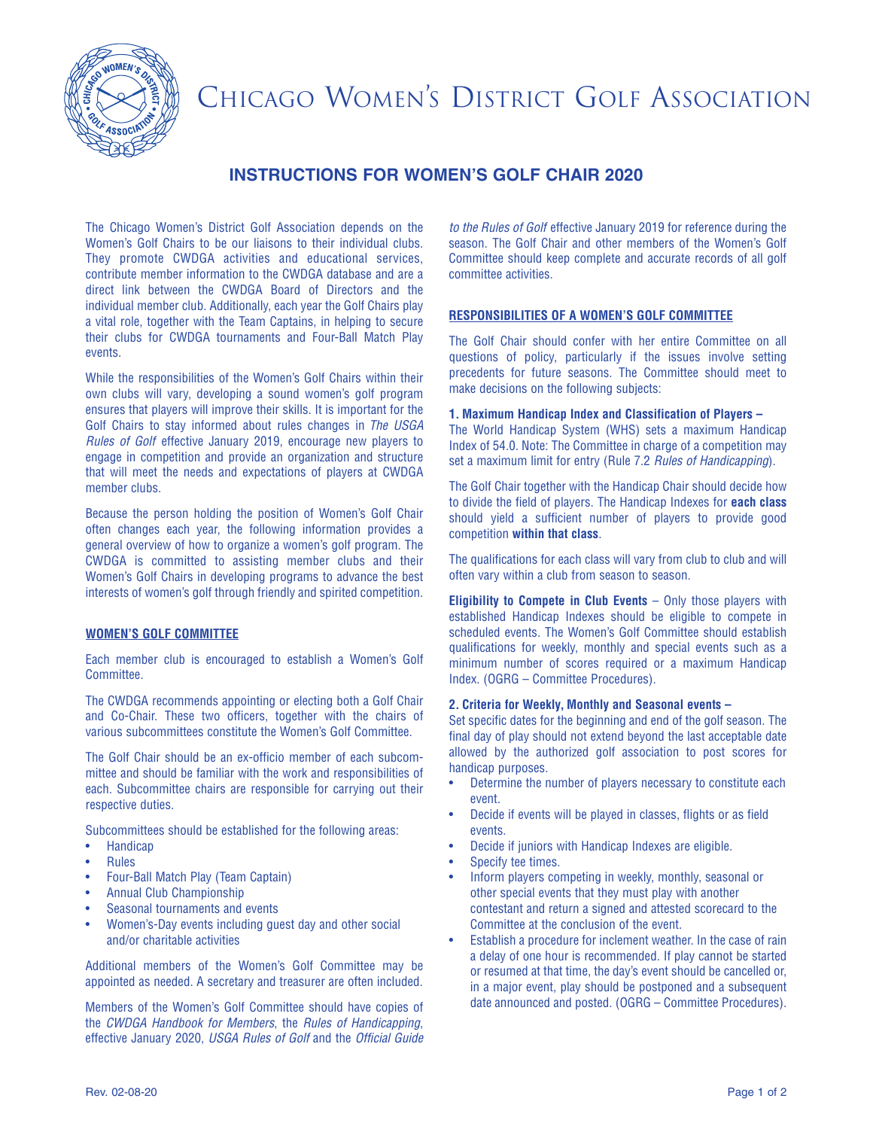

# CHICAGO WOMEN'S DISTRICT GOLF ASSOCIATION

# **INSTRUCTIONS FOR WOMEN'S GOLF CHAIR 2020**

The Chicago Women's District Golf Association depends on the Women's Golf Chairs to be our liaisons to their individual clubs. They promote CWDGA activities and educational services, contribute member information to the CWDGA database and are a direct link between the CWDGA Board of Directors and the individual member club. Additionally, each year the Golf Chairs play a vital role, together with the Team Captains, in helping to secure their clubs for CWDGA tournaments and Four-Ball Match Play events.

While the responsibilities of the Women's Golf Chairs within their own clubs will vary, developing a sound women's golf program ensures that players will improve their skills. It is important for the Golf Chairs to stay informed about rules changes in *The USGA Rules of Golf* effective January 2019, encourage new players to engage in competition and provide an organization and structure that will meet the needs and expectations of players at CWDGA member clubs.

Because the person holding the position of Women's Golf Chair often changes each year, the following information provides a general overview of how to organize a women's golf program. The CWDGA is committed to assisting member clubs and their Women's Golf Chairs in developing programs to advance the best interests of women's golf through friendly and spirited competition.

# **WOMEN'S GOLF COMMITTEE**

Each member club is encouraged to establish a Women's Golf Committee.

The CWDGA recommends appointing or electing both a Golf Chair and Co-Chair. These two officers, together with the chairs of various subcommittees constitute the Women's Golf Committee.

The Golf Chair should be an ex-officio member of each subcommittee and should be familiar with the work and responsibilities of each. Subcommittee chairs are responsible for carrying out their respective duties.

Subcommittees should be established for the following areas:

- Handicap
- Rules
- Four-Ball Match Play (Team Captain)
- Annual Club Championship
- Seasonal tournaments and events
- Women's-Day events including guest day and other social and/or charitable activities

Additional members of the Women's Golf Committee may be appointed as needed. A secretary and treasurer are often included.

Members of the Women's Golf Committee should have copies of the *CWDGA Handbook for Members*, the *Rules of Handicapping*, effective January 2020, *USGA Rules of Golf* and the *Official Guide*

*to the Rules of Golf* effective January 2019 for reference during the season. The Golf Chair and other members of the Women's Golf Committee should keep complete and accurate records of all golf committee activities.

# **RESPONSIBILITIES OF A WOMEN'S GOLF COMMITTEE**

The Golf Chair should confer with her entire Committee on all questions of policy, particularly if the issues involve setting precedents for future seasons. The Committee should meet to make decisions on the following subjects:

## **1. Maximum Handicap Index and Classification of Players –**

The World Handicap System (WHS) sets a maximum Handicap Index of 54.0. Note: The Committee in charge of a competition may set a maximum limit for entry (Rule 7.2 *Rules of Handicapping*).

The Golf Chair together with the Handicap Chair should decide how to divide the field of players. The Handicap Indexes for **each class** should yield a sufficient number of players to provide good competition **within that class**.

The qualifications for each class will vary from club to club and will often vary within a club from season to season.

**Eligibility to Compete in Club Events** – Only those players with established Handicap Indexes should be eligible to compete in scheduled events. The Women's Golf Committee should establish qualifications for weekly, monthly and special events such as a minimum number of scores required or a maximum Handicap Index. (OGRG – Committee Procedures).

# **2. Criteria for Weekly, Monthly and Seasonal events –**

Set specific dates for the beginning and end of the golf season. The final day of play should not extend beyond the last acceptable date allowed by the authorized golf association to post scores for handicap purposes.

- Determine the number of players necessary to constitute each event.
- Decide if events will be played in classes, flights or as field events.
- Decide if juniors with Handicap Indexes are eligible.
- Specify tee times.
- Inform players competing in weekly, monthly, seasonal or other special events that they must play with another contestant and return a signed and attested scorecard to the Committee at the conclusion of the event.
- Establish a procedure for inclement weather. In the case of rain a delay of one hour is recommended. If play cannot be started or resumed at that time, the day's event should be cancelled or, in a major event, play should be postponed and a subsequent date announced and posted. (OGRG – Committee Procedures).